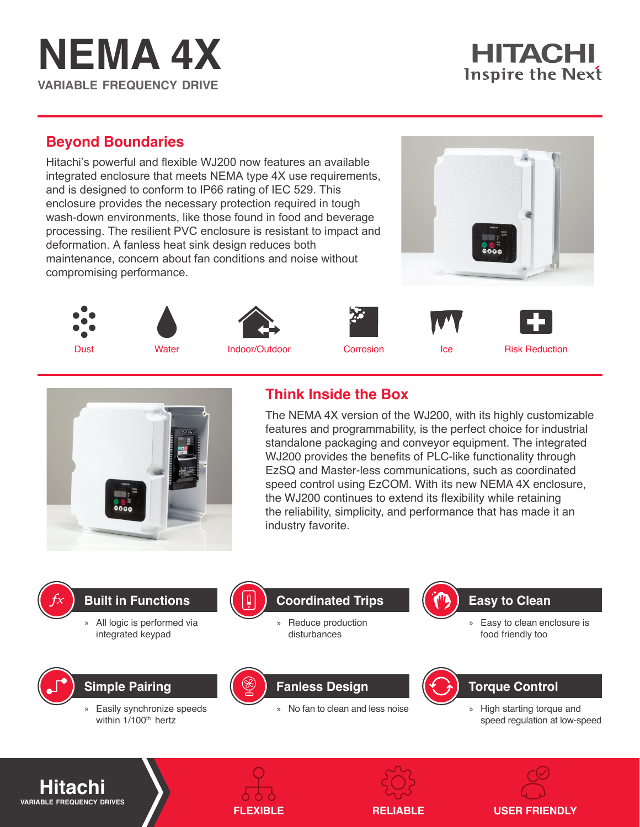## **NEMA 4X variable frequency drive**

## **HITACHI Inspire the Next**

## **Beyond Boundaries**

Hitachi's powerful and flexible WJ200 now features an available integrated enclosure that meets NEMA type 4X use requirements, and is designed to conform to IP66 rating of IEC 529. This enclosure provides the necessary protection required in tough wash-down environments, like those found in food and beverage processing. The resilient PVC enclosure is resistant to impact and deformation. A fanless heat sink design reduces both maintenance, concern about fan conditions and noise without compromising performance.

















## **Think Inside the Box**

The NEMA 4X version of the WJ200, with its highly customizable features and programmability, is the perfect choice for industrial standalone packaging and conveyor equipment. The integrated WJ200 provides the benefits of PLC-like functionality through EzSQ and Master-less communications, such as coordinated speed control using EzCOM. With its new NEMA 4X enclosure, the WJ200 continues to extend its flexibility while retaining the reliability, simplicity, and performance that has made it an industry favorite.